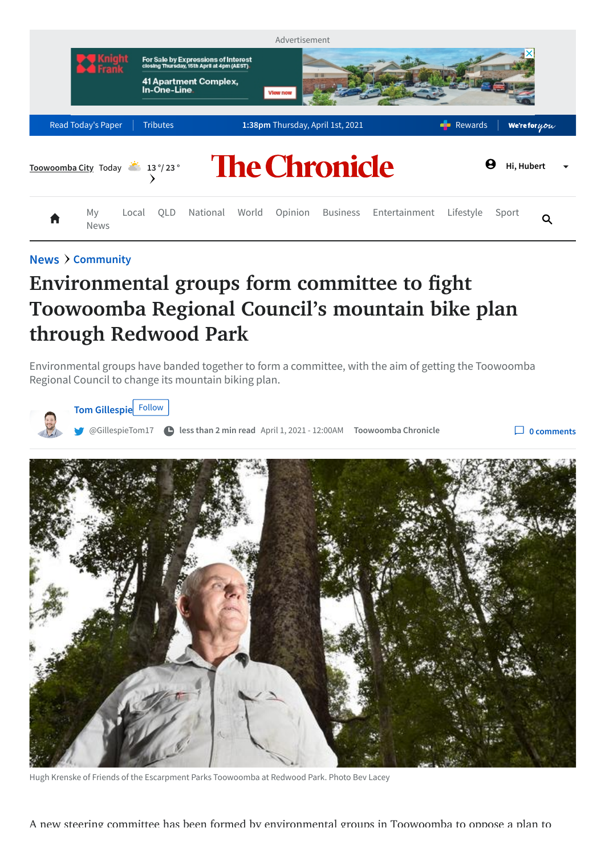

### **[News](https://www.thechronicle.com.au/news) [Community](https://www.thechronicle.com.au/news/community)**

# **Environmental groups form committee to fight Toowoomba Regional Council's mountain bike plan through Redwood Park**

Environmental groups have banded together to form a committee, with the aim of getting the Toowoomba Regional Council to change its mountain biking plan.

**Tom [Gillespie](https://www.thechronicle.com.au/journalists/tom-gillespie)** Follow

[@GillespieTom17](https://twitter.com/GillespieTom17) **less than 2 min read** April 1, 2021 - 12:00AM **Toowoomba Chronicle 0 [comments](#page-2-0)**



Hugh Krenske of Friends of the Escarpment Parks Toowoomba at Redwood Park. Photo Bev Lacey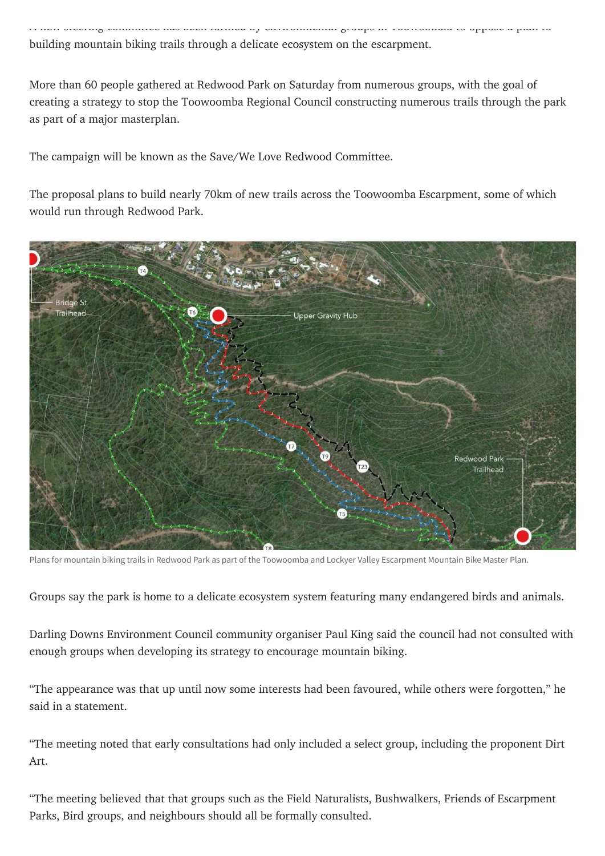A new steering committee has been formed by environmental groups in Toowoomba to oppose a plan to building mountain biking trails through a delicate ecosystem on the escarpment.

More than 60 people gathered at Redwood Park on Saturday from numerous groups, with the goal of creating a strategy to stop the Toowoomba Regional Council constructing numerous trails through the park as part of a major masterplan.

The campaign will be known as the Save/We Love Redwood Committee.

The proposal plans to build nearly 70km of new trails across the Toowoomba Escarpment, some of which would run through Redwood Park.



Plans for mountain biking trails in Redwood Park as part of the Toowoomba and Lockyer Valley Escarpment Mountain Bike Master Plan.

Groups say the park is home to a delicate ecosystem system featuring many endangered birds and animals.

Darling Downs Environment Council community organiser Paul King said the council had not consulted with enough groups when developing its strategy to encourage mountain biking.

"The appearance was that up until now some interests had been favoured, while others were forgotten," he said in a statement.

"The meeting noted that early consultations had only included a select group, including the proponent Dirt Art.

"The meeting believed that that groups such as the Field Naturalists, Bushwalkers, Friends of Escarpment Parks, Bird groups, and neighbours should all be formally consulted.